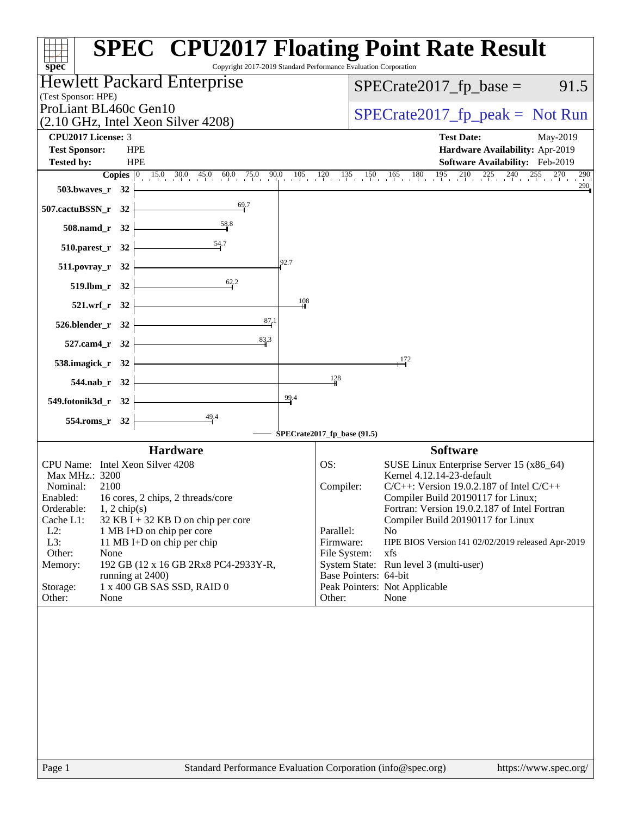| $spec^*$                                                                      | <b>SPEC<sup>®</sup> CPU2017 Floating Point Rate Result</b><br>Copyright 2017-2019 Standard Performance Evaluation Corporation                                                                              |
|-------------------------------------------------------------------------------|------------------------------------------------------------------------------------------------------------------------------------------------------------------------------------------------------------|
| Hewlett Packard Enterprise                                                    | $SPECrate2017_fp\_base =$<br>91.5                                                                                                                                                                          |
| (Test Sponsor: HPE)<br>ProLiant BL460c Gen10                                  |                                                                                                                                                                                                            |
| (2.10 GHz, Intel Xeon Silver 4208)                                            | $SPECrate2017_fp\_peak = Not Run$                                                                                                                                                                          |
| CPU2017 License: 3                                                            | <b>Test Date:</b><br>May-2019                                                                                                                                                                              |
| <b>Test Sponsor:</b><br><b>HPE</b>                                            | Hardware Availability: Apr-2019                                                                                                                                                                            |
| <b>HPE</b><br><b>Tested by:</b>                                               | Software Availability: Feb-2019<br><b>Copies</b> $\begin{bmatrix} 0 & 15.0 & 30.0 & 45.0 & 60.0 & 75.0 & 90.0 & 105 & 120 & 135 & 150 & 165 & 180 & 195 & 210 & 225 & 240 & 255 & 270 & 290 \end{bmatrix}$ |
| 503.bwaves_r 32                                                               | $290$ <sub>11</sub>                                                                                                                                                                                        |
| 69.7<br>507.cactuBSSN_r 32                                                    |                                                                                                                                                                                                            |
| 508.namd_r 32                                                                 |                                                                                                                                                                                                            |
| $510.parest_r$ 32                                                             |                                                                                                                                                                                                            |
| 92.7<br>511.povray_r 32                                                       |                                                                                                                                                                                                            |
| 62.2<br>519.lbm_r 32                                                          |                                                                                                                                                                                                            |
| 108<br>521.wrf_r 32                                                           |                                                                                                                                                                                                            |
| 87,1<br>526.blender_r 32                                                      |                                                                                                                                                                                                            |
| 83.3<br>527.cam4_r 32                                                         |                                                                                                                                                                                                            |
| 538.imagick_r 32                                                              | 172                                                                                                                                                                                                        |
| 544.nab_r 32                                                                  | 128                                                                                                                                                                                                        |
| 99.4<br>549.fotonik3d_r 32                                                    |                                                                                                                                                                                                            |
| $\frac{49.4}{ }$<br>554.roms_r 32                                             |                                                                                                                                                                                                            |
|                                                                               | SPECrate2017_fp_base (91.5)                                                                                                                                                                                |
| <b>Hardware</b><br>CPU Name: Intel Xeon Silver 4208                           | <b>Software</b><br>SUSE Linux Enterprise Server 15 (x86_64)<br>OS:                                                                                                                                         |
| Max MHz.: 3200                                                                | Kernel 4.12.14-23-default                                                                                                                                                                                  |
| Nominal:<br>2100                                                              | Compiler:<br>$C/C++$ : Version 19.0.2.187 of Intel $C/C++$                                                                                                                                                 |
| Enabled:<br>16 cores, 2 chips, 2 threads/core<br>Orderable:<br>$1, 2$ chip(s) | Compiler Build 20190117 for Linux;<br>Fortran: Version 19.0.2.187 of Intel Fortran                                                                                                                         |
| Cache L1:<br>32 KB I + 32 KB D on chip per core                               | Compiler Build 20190117 for Linux                                                                                                                                                                          |
| $L2$ :<br>1 MB I+D on chip per core<br>L3:<br>11 MB I+D on chip per chip      | Parallel:<br>N <sub>o</sub><br>Firmware:<br>HPE BIOS Version I41 02/02/2019 released Apr-2019                                                                                                              |
| Other:<br>None                                                                | File System:<br>xfs                                                                                                                                                                                        |
| Memory:<br>192 GB (12 x 16 GB 2Rx8 PC4-2933Y-R,                               | System State: Run level 3 (multi-user)                                                                                                                                                                     |
| running at 2400)<br>1 x 400 GB SAS SSD, RAID 0                                | Base Pointers: 64-bit                                                                                                                                                                                      |
| Storage:<br>Other:<br>None                                                    | Peak Pointers: Not Applicable<br>Other:<br>None                                                                                                                                                            |
|                                                                               |                                                                                                                                                                                                            |
|                                                                               |                                                                                                                                                                                                            |
|                                                                               |                                                                                                                                                                                                            |
|                                                                               |                                                                                                                                                                                                            |
|                                                                               |                                                                                                                                                                                                            |
|                                                                               |                                                                                                                                                                                                            |
|                                                                               |                                                                                                                                                                                                            |
|                                                                               |                                                                                                                                                                                                            |
|                                                                               |                                                                                                                                                                                                            |
| $\mathbf{p}_{\alpha\alpha\alpha}$ 1                                           | $Standard$ Performance Evaluation Corporation (info@spec.org)<br>http://www.                                                                                                                               |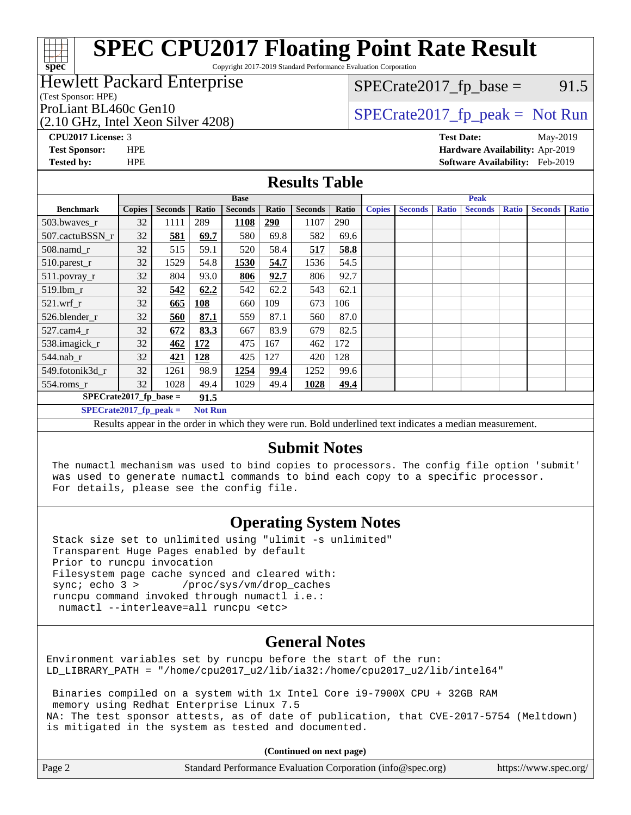Copyright 2017-2019 Standard Performance Evaluation Corporation

### Hewlett Packard Enterprise

(Test Sponsor: HPE)

(2.10 GHz, Intel Xeon Silver 4208)

 $SPECTate2017<sub>fp</sub> base = 91.5$ 

## ProLiant BL460c Gen10  $SPECTA = 2017$   $SpECrate2017$   $fp\_peak = Not Run$

**[CPU2017 License:](http://www.spec.org/auto/cpu2017/Docs/result-fields.html#CPU2017License)** 3 **[Test Date:](http://www.spec.org/auto/cpu2017/Docs/result-fields.html#TestDate)** May-2019 **[Test Sponsor:](http://www.spec.org/auto/cpu2017/Docs/result-fields.html#TestSponsor)** HPE **[Hardware Availability:](http://www.spec.org/auto/cpu2017/Docs/result-fields.html#HardwareAvailability)** Apr-2019 **[Tested by:](http://www.spec.org/auto/cpu2017/Docs/result-fields.html#Testedby)** HPE **[Software Availability:](http://www.spec.org/auto/cpu2017/Docs/result-fields.html#SoftwareAvailability)** Feb-2019

#### **[Results Table](http://www.spec.org/auto/cpu2017/Docs/result-fields.html#ResultsTable)**

| <b>Base</b>                                 |               |                | <b>Peak</b> |                |       |                |       |               |                |              |                |              |                |              |
|---------------------------------------------|---------------|----------------|-------------|----------------|-------|----------------|-------|---------------|----------------|--------------|----------------|--------------|----------------|--------------|
| <b>Benchmark</b>                            | <b>Copies</b> | <b>Seconds</b> | Ratio       | <b>Seconds</b> | Ratio | <b>Seconds</b> | Ratio | <b>Copies</b> | <b>Seconds</b> | <b>Ratio</b> | <b>Seconds</b> | <b>Ratio</b> | <b>Seconds</b> | <b>Ratio</b> |
| 503.bwayes r                                | 32            | 1111           | 289         | 1108           | 290   | 1107           | 290   |               |                |              |                |              |                |              |
| 507.cactuBSSN r                             | 32            | 581            | 69.7        | 580            | 69.8  | 582            | 69.6  |               |                |              |                |              |                |              |
| $508$ .namd $r$                             | 32            | 515            | 59.1        | 520            | 58.4  | 517            | 58.8  |               |                |              |                |              |                |              |
| 510.parest_r                                | 32            | 1529           | 54.8        | 1530           | 54.7  | 1536           | 54.5  |               |                |              |                |              |                |              |
| 511.povray_r                                | 32            | 804            | 93.0        | 806            | 92.7  | 806            | 92.7  |               |                |              |                |              |                |              |
| $519$ .lbm $r$                              | 32            | 542            | 62.2        | 542            | 62.2  | 543            | 62.1  |               |                |              |                |              |                |              |
| $521$ .wrf r                                | 32            | 665            | 108         | 660            | 109   | 673            | 106   |               |                |              |                |              |                |              |
| 526.blender r                               | 32            | 560            | 87.1        | 559            | 87.1  | 560            | 87.0  |               |                |              |                |              |                |              |
| 527.cam4 r                                  | 32            | 672            | 83.3        | 667            | 83.9  | 679            | 82.5  |               |                |              |                |              |                |              |
| 538.imagick_r                               | 32            | 462            | 172         | 475            | 167   | 462            | 172   |               |                |              |                |              |                |              |
| $544$ .nab r                                | 32            | 421            | 128         | 425            | 127   | 420            | 128   |               |                |              |                |              |                |              |
| 549.fotonik3d r                             | 32            | 1261           | 98.9        | 1254           | 99.4  | 1252           | 99.6  |               |                |              |                |              |                |              |
| $554$ .roms_r                               | 32            | 1028           | 49.4        | 1029           | 49.4  | 1028           | 49.4  |               |                |              |                |              |                |              |
| $SPECrate2017$ fp base =                    |               |                | 91.5        |                |       |                |       |               |                |              |                |              |                |              |
| $SPECrate2017_fp\_peak =$<br><b>Not Run</b> |               |                |             |                |       |                |       |               |                |              |                |              |                |              |
| $\mathbf{r}$ $\mathbf{r}$                   |               |                |             | .              |       |                |       |               | .              |              | $\bullet$      |              |                |              |

Results appear in the [order in which they were run.](http://www.spec.org/auto/cpu2017/Docs/result-fields.html#RunOrder) Bold underlined text [indicates a median measurement.](http://www.spec.org/auto/cpu2017/Docs/result-fields.html#Median)

#### **[Submit Notes](http://www.spec.org/auto/cpu2017/Docs/result-fields.html#SubmitNotes)**

 The numactl mechanism was used to bind copies to processors. The config file option 'submit' was used to generate numactl commands to bind each copy to a specific processor. For details, please see the config file.

### **[Operating System Notes](http://www.spec.org/auto/cpu2017/Docs/result-fields.html#OperatingSystemNotes)**

 Stack size set to unlimited using "ulimit -s unlimited" Transparent Huge Pages enabled by default Prior to runcpu invocation Filesystem page cache synced and cleared with: sync; echo 3 > /proc/sys/vm/drop\_caches runcpu command invoked through numactl i.e.: numactl --interleave=all runcpu <etc>

### **[General Notes](http://www.spec.org/auto/cpu2017/Docs/result-fields.html#GeneralNotes)**

Environment variables set by runcpu before the start of the run: LD\_LIBRARY\_PATH = "/home/cpu2017\_u2/lib/ia32:/home/cpu2017\_u2/lib/intel64"

 Binaries compiled on a system with 1x Intel Core i9-7900X CPU + 32GB RAM memory using Redhat Enterprise Linux 7.5 NA: The test sponsor attests, as of date of publication, that CVE-2017-5754 (Meltdown) is mitigated in the system as tested and documented.

**(Continued on next page)**

| Page 2 | Standard Performance Evaluation Corporation (info@spec.org) | https://www.spec.org/ |
|--------|-------------------------------------------------------------|-----------------------|
|--------|-------------------------------------------------------------|-----------------------|

**[spec](http://www.spec.org/)**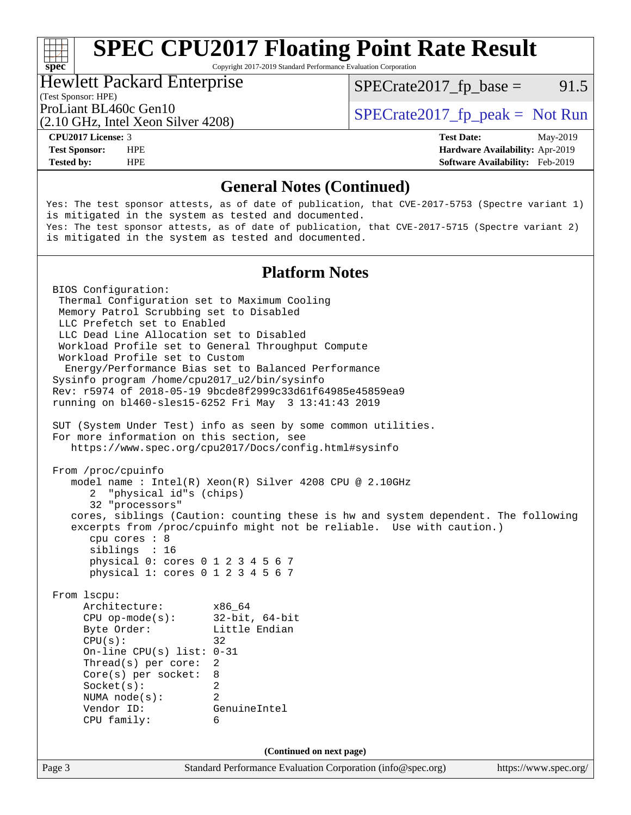Copyright 2017-2019 Standard Performance Evaluation Corporation

#### Hewlett Packard Enterprise

 $SPECTate2017<sub>fp</sub> base = 91.5$ 

(Test Sponsor: HPE)

(2.10 GHz, Intel Xeon Silver 4208)

ProLiant BL460c Gen10  $SPECTA 1208$   $S<sub>10</sub> C<sub>11</sub> C<sub>12</sub> C<sub>13</sub> C<sub>14</sub> C<sub>15</sub> C<sub>16</sub> C<sub>17</sub> C<sub>18</sub> C<sub>19</sub> C<sub>19</sub> C<sub>19</sub> C<sub>19</sub> C<sub>19</sub> C<sub>19</sub> C<sub>19</sub> C<sub>19</sub> C<sub>19</sub> C<sub>19</sub> C<sub>19</sub> C<sub>19</sub>$ 

**[spec](http://www.spec.org/)**

**[Tested by:](http://www.spec.org/auto/cpu2017/Docs/result-fields.html#Testedby)** HPE **[Software Availability:](http://www.spec.org/auto/cpu2017/Docs/result-fields.html#SoftwareAvailability)** Feb-2019

**[CPU2017 License:](http://www.spec.org/auto/cpu2017/Docs/result-fields.html#CPU2017License)** 3 **[Test Date:](http://www.spec.org/auto/cpu2017/Docs/result-fields.html#TestDate)** May-2019 **[Test Sponsor:](http://www.spec.org/auto/cpu2017/Docs/result-fields.html#TestSponsor)** HPE **[Hardware Availability:](http://www.spec.org/auto/cpu2017/Docs/result-fields.html#HardwareAvailability)** Apr-2019

#### **[General Notes \(Continued\)](http://www.spec.org/auto/cpu2017/Docs/result-fields.html#GeneralNotes)**

Yes: The test sponsor attests, as of date of publication, that CVE-2017-5753 (Spectre variant 1) is mitigated in the system as tested and documented. Yes: The test sponsor attests, as of date of publication, that CVE-2017-5715 (Spectre variant 2) is mitigated in the system as tested and documented.

#### **[Platform Notes](http://www.spec.org/auto/cpu2017/Docs/result-fields.html#PlatformNotes)**

Page 3 Standard Performance Evaluation Corporation [\(info@spec.org\)](mailto:info@spec.org) <https://www.spec.org/> BIOS Configuration: Thermal Configuration set to Maximum Cooling Memory Patrol Scrubbing set to Disabled LLC Prefetch set to Enabled LLC Dead Line Allocation set to Disabled Workload Profile set to General Throughput Compute Workload Profile set to Custom Energy/Performance Bias set to Balanced Performance Sysinfo program /home/cpu2017\_u2/bin/sysinfo Rev: r5974 of 2018-05-19 9bcde8f2999c33d61f64985e45859ea9 running on bl460-sles15-6252 Fri May 3 13:41:43 2019 SUT (System Under Test) info as seen by some common utilities. For more information on this section, see <https://www.spec.org/cpu2017/Docs/config.html#sysinfo> From /proc/cpuinfo model name : Intel(R) Xeon(R) Silver 4208 CPU @ 2.10GHz 2 "physical id"s (chips) 32 "processors" cores, siblings (Caution: counting these is hw and system dependent. The following excerpts from /proc/cpuinfo might not be reliable. Use with caution.) cpu cores : 8 siblings : 16 physical 0: cores 0 1 2 3 4 5 6 7 physical 1: cores 0 1 2 3 4 5 6 7 From lscpu: Architecture: x86\_64 CPU op-mode(s): 32-bit, 64-bit Byte Order: Little Endian  $CPU(s):$  32 On-line CPU(s) list: 0-31 Thread(s) per core: 2 Core(s) per socket: 8 Socket(s): 2 NUMA node(s): 2 Vendor ID: GenuineIntel CPU family: 6 **(Continued on next page)**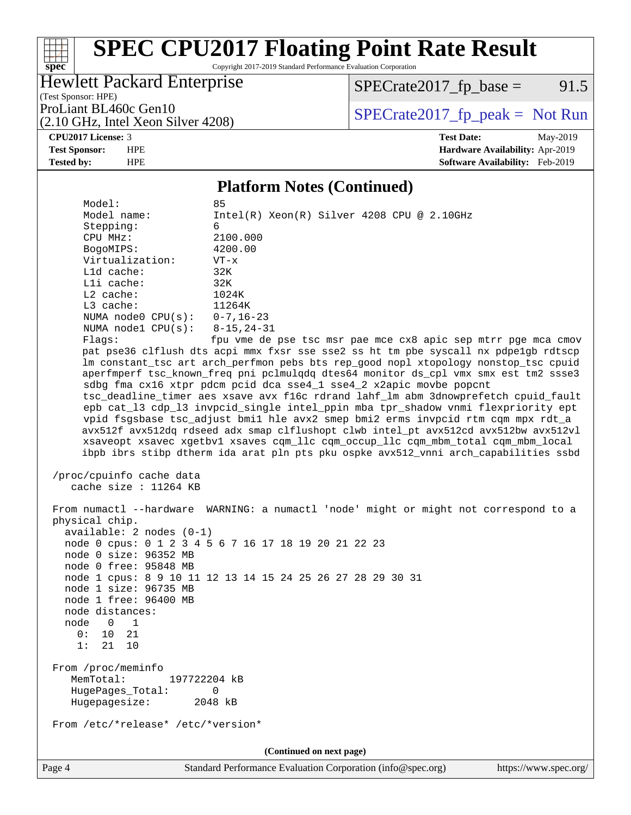Copyright 2017-2019 Standard Performance Evaluation Corporation

#### Hewlett Packard Enterprise

 $SPECTate2017<sub>fp</sub> base = 91.5$ 

(Test Sponsor: HPE) (2.10 GHz, Intel Xeon Silver 4208)

ProLiant BL460c Gen10  $SPECTA 1208$   $S<sub>10</sub> C<sub>11</sub> C<sub>12</sub> C<sub>13</sub> C<sub>14</sub> C<sub>15</sub> C<sub>16</sub> C<sub>17</sub> C<sub>18</sub> C<sub>19</sub> C<sub>19</sub> C<sub>19</sub> C<sub>19</sub> C<sub>19</sub> C<sub>19</sub> C<sub>19</sub> C<sub>19</sub> C<sub>19</sub> C<sub>19</sub> C<sub>19</sub> C<sub>19</sub>$ 

**[spec](http://www.spec.org/)**

a tim

**[CPU2017 License:](http://www.spec.org/auto/cpu2017/Docs/result-fields.html#CPU2017License)** 3 **[Test Date:](http://www.spec.org/auto/cpu2017/Docs/result-fields.html#TestDate)** May-2019 **[Test Sponsor:](http://www.spec.org/auto/cpu2017/Docs/result-fields.html#TestSponsor)** HPE **[Hardware Availability:](http://www.spec.org/auto/cpu2017/Docs/result-fields.html#HardwareAvailability)** Apr-2019 **[Tested by:](http://www.spec.org/auto/cpu2017/Docs/result-fields.html#Testedby)** HPE **[Software Availability:](http://www.spec.org/auto/cpu2017/Docs/result-fields.html#SoftwareAvailability)** Feb-2019

#### **[Platform Notes \(Continued\)](http://www.spec.org/auto/cpu2017/Docs/result-fields.html#PlatformNotes)**

Model: Model name: Intel(R) Xeon(R) Silver 4208 CPU @ 2.10GHz Stepping: CPU MHz: 2100.000 BogoMIPS: 4200.00 Virtualization: VT-x L1d cache: 32K L1i cache: 32K L2 cache: 1024K L3 cache: 11264K NUMA node0 CPU(s): 0-7,16-23 NUMA node1 CPU(s): 8-15,24-31 Flags: fpu vme de pse tsc msr pae mce cx8 apic sep mtrr pge mca cmov pat pse36 clflush dts acpi mmx fxsr sse sse2 ss ht tm pbe syscall nx pdpe1gb rdtscp lm constant\_tsc art arch\_perfmon pebs bts rep\_good nopl xtopology nonstop\_tsc cpuid aperfmperf tsc\_known\_freq pni pclmulqdq dtes64 monitor ds\_cpl vmx smx est tm2 ssse3 sdbg fma cx16 xtpr pdcm pcid dca sse4\_1 sse4\_2 x2apic movbe popcnt tsc\_deadline\_timer aes xsave avx f16c rdrand lahf\_lm abm 3dnowprefetch cpuid\_fault epb cat\_l3 cdp\_l3 invpcid\_single intel\_ppin mba tpr\_shadow vnmi flexpriority ept vpid fsgsbase tsc\_adjust bmi1 hle avx2 smep bmi2 erms invpcid rtm cqm mpx rdt\_a avx512f avx512dq rdseed adx smap clflushopt clwb intel\_pt avx512cd avx512bw avx512vl xsaveopt xsavec xgetbv1 xsaves cqm\_llc cqm\_occup\_llc cqm\_mbm\_total cqm\_mbm\_local ibpb ibrs stibp dtherm ida arat pln pts pku ospke avx512\_vnni arch\_capabilities ssbd

```
 /proc/cpuinfo cache data
cache size : 11264 KB
```
 From numactl --hardware WARNING: a numactl 'node' might or might not correspond to a physical chip. available: 2 nodes (0-1) node 0 cpus: 0 1 2 3 4 5 6 7 16 17 18 19 20 21 22 23 node 0 size: 96352 MB node 0 free: 95848 MB node 1 cpus: 8 9 10 11 12 13 14 15 24 25 26 27 28 29 30 31 node 1 size: 96735 MB node 1 free: 96400 MB node distances: node 0 1 0: 10 21 1: 21 10 From /proc/meminfo MemTotal: 197722204 kB HugePages\_Total: 0 Hugepagesize: 2048 kB From /etc/\*release\* /etc/\*version\*

**(Continued on next page)**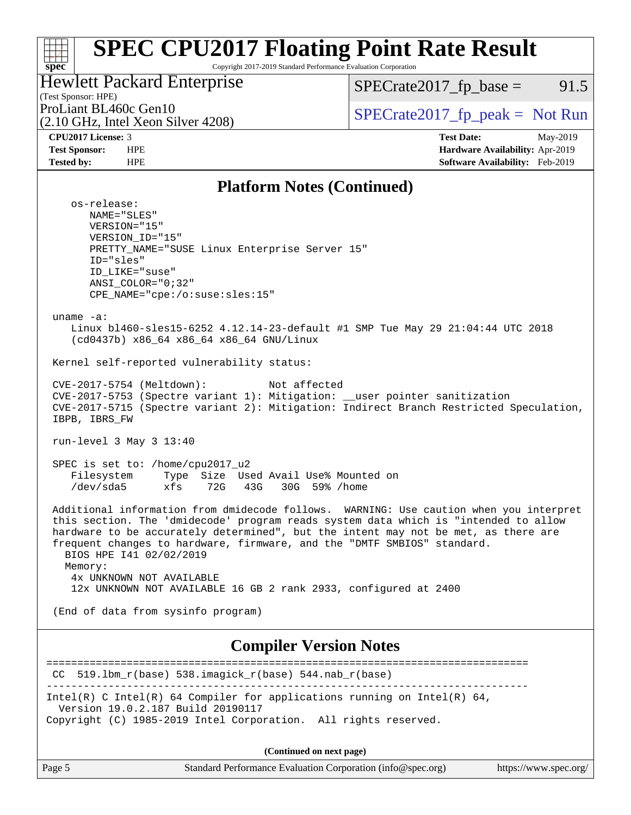#### **[spec](http://www.spec.org/) [SPEC CPU2017 Floating Point Rate Result](http://www.spec.org/auto/cpu2017/Docs/result-fields.html#SPECCPU2017FloatingPointRateResult)** Copyright 2017-2019 Standard Performance Evaluation Corporation

#### Hewlett Packard Enterprise

 $SPECTate2017<sub>fp</sub> base = 91.5$ 

(Test Sponsor: HPE) (2.10 GHz, Intel Xeon Silver 4208)

ProLiant BL460c Gen10  $SPECTA = 2017$   $SpECrate2017$   $fp\_peak = Not Run$ 

**[CPU2017 License:](http://www.spec.org/auto/cpu2017/Docs/result-fields.html#CPU2017License)** 3 **[Test Date:](http://www.spec.org/auto/cpu2017/Docs/result-fields.html#TestDate)** May-2019 **[Test Sponsor:](http://www.spec.org/auto/cpu2017/Docs/result-fields.html#TestSponsor)** HPE **[Hardware Availability:](http://www.spec.org/auto/cpu2017/Docs/result-fields.html#HardwareAvailability)** Apr-2019 **[Tested by:](http://www.spec.org/auto/cpu2017/Docs/result-fields.html#Testedby)** HPE **[Software Availability:](http://www.spec.org/auto/cpu2017/Docs/result-fields.html#SoftwareAvailability)** Feb-2019

#### **[Platform Notes \(Continued\)](http://www.spec.org/auto/cpu2017/Docs/result-fields.html#PlatformNotes)**

 os-release: NAME="SLES" VERSION="15" VERSION\_ID="15" PRETTY\_NAME="SUSE Linux Enterprise Server 15" ID="sles" ID\_LIKE="suse" ANSI\_COLOR="0;32" CPE\_NAME="cpe:/o:suse:sles:15" uname -a: Linux bl460-sles15-6252 4.12.14-23-default #1 SMP Tue May 29 21:04:44 UTC 2018 (cd0437b) x86\_64 x86\_64 x86\_64 GNU/Linux Kernel self-reported vulnerability status: CVE-2017-5754 (Meltdown): Not affected CVE-2017-5753 (Spectre variant 1): Mitigation: \_\_user pointer sanitization CVE-2017-5715 (Spectre variant 2): Mitigation: Indirect Branch Restricted Speculation, IBPB, IBRS\_FW run-level 3 May 3 13:40 SPEC is set to: /home/cpu2017\_u2 Filesystem Type Size Used Avail Use% Mounted on /dev/sda5 xfs 72G 43G 30G 59% /home Additional information from dmidecode follows. WARNING: Use caution when you interpret this section. The 'dmidecode' program reads system data which is "intended to allow hardware to be accurately determined", but the intent may not be met, as there are frequent changes to hardware, firmware, and the "DMTF SMBIOS" standard. BIOS HPE I41 02/02/2019 Memory: 4x UNKNOWN NOT AVAILABLE 12x UNKNOWN NOT AVAILABLE 16 GB 2 rank 2933, configured at 2400 (End of data from sysinfo program) **[Compiler Version Notes](http://www.spec.org/auto/cpu2017/Docs/result-fields.html#CompilerVersionNotes)** ==============================================================================  $CC$  519.1bm\_ $r(base)$  538.imagick\_ $r(base)$  544.nab\_ $r(base)$ ------------------------------------------------------------------------------ Intel(R) C Intel(R) 64 Compiler for applications running on Intel(R)  $64$ , Version 19.0.2.187 Build 20190117 Copyright (C) 1985-2019 Intel Corporation. All rights reserved.

**(Continued on next page)**

| Page 5 | Standard Performance Evaluation Corporation (info@spec.org) | https://www.spec.org/ |
|--------|-------------------------------------------------------------|-----------------------|
|--------|-------------------------------------------------------------|-----------------------|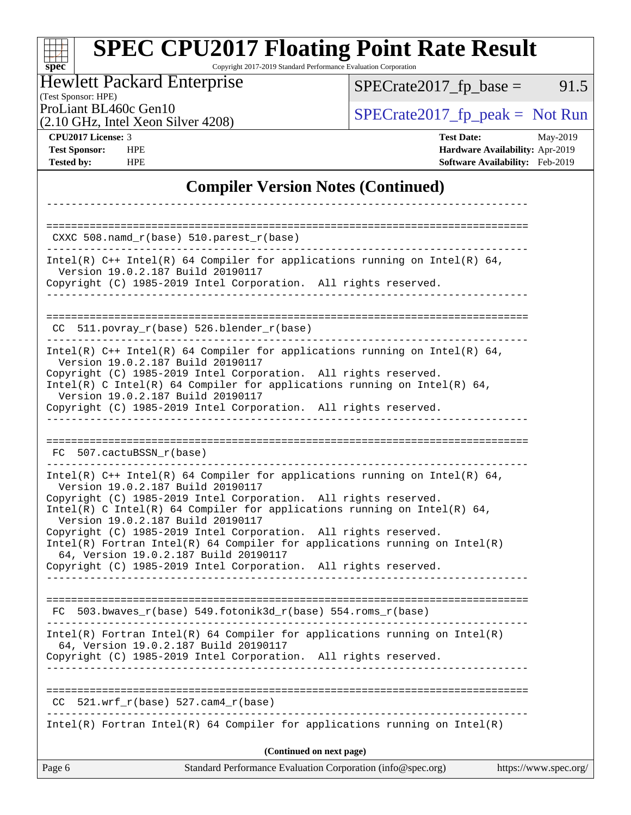### **[SPEC CPU2017 Floating Point Rate Result](http://www.spec.org/auto/cpu2017/Docs/result-fields.html#SPECCPU2017FloatingPointRateResult)** Copyright 2017-2019 Standard Performance Evaluation Corporation

### Hewlett Packard Enterprise

 $SPECTate2017_fp\_base = 91.5$ 

(Test Sponsor: HPE)

(2.10 GHz, Intel Xeon Silver 4208)

ProLiant BL460c Gen10<br>  $(2.10 \text{ GHz} \text{ Intel } \text{Xeon Silver } 4208)$  [SPECrate2017\\_fp\\_peak =](http://www.spec.org/auto/cpu2017/Docs/result-fields.html#SPECrate2017fppeak) Not Run

**[spec](http://www.spec.org/)**

**[CPU2017 License:](http://www.spec.org/auto/cpu2017/Docs/result-fields.html#CPU2017License)** 3 **[Test Date:](http://www.spec.org/auto/cpu2017/Docs/result-fields.html#TestDate)** May-2019 **[Test Sponsor:](http://www.spec.org/auto/cpu2017/Docs/result-fields.html#TestSponsor)** HPE **[Hardware Availability:](http://www.spec.org/auto/cpu2017/Docs/result-fields.html#HardwareAvailability)** Apr-2019 **[Tested by:](http://www.spec.org/auto/cpu2017/Docs/result-fields.html#Testedby)** HPE **[Software Availability:](http://www.spec.org/auto/cpu2017/Docs/result-fields.html#SoftwareAvailability)** Feb-2019

#### **[Compiler Version Notes \(Continued\)](http://www.spec.org/auto/cpu2017/Docs/result-fields.html#CompilerVersionNotes)**

| Page 6                            | Standard Performance Evaluation Corporation (info@spec.org)                                                                                                                                                                 | https://www.spec.org/ |
|-----------------------------------|-----------------------------------------------------------------------------------------------------------------------------------------------------------------------------------------------------------------------------|-----------------------|
|                                   | (Continued on next page)                                                                                                                                                                                                    |                       |
|                                   | $Intel(R)$ Fortran Intel(R) 64 Compiler for applications running on Intel(R)                                                                                                                                                |                       |
| CC                                | $521.wrf_r(base) 527.cam4_r(base)$                                                                                                                                                                                          |                       |
|                                   | Copyright (C) 1985-2019 Intel Corporation. All rights reserved.                                                                                                                                                             |                       |
|                                   | $Intel(R)$ Fortran Intel(R) 64 Compiler for applications running on Intel(R)<br>64, Version 19.0.2.187 Build 20190117                                                                                                       |                       |
|                                   | FC 503.bwaves $r(base)$ 549.fotonik3d $r(base)$ 554.roms $r(base)$                                                                                                                                                          |                       |
|                                   | 64, Version 19.0.2.187 Build 20190117<br>Copyright (C) 1985-2019 Intel Corporation. All rights reserved.<br>________________________________                                                                                |                       |
| Version 19.0.2.187 Build 20190117 | Intel(R) C Intel(R) 64 Compiler for applications running on Intel(R) 64,<br>Copyright (C) 1985-2019 Intel Corporation. All rights reserved.<br>$Intel(R)$ Fortran Intel(R) 64 Compiler for applications running on Intel(R) |                       |
| Version 19.0.2.187 Build 20190117 | Intel(R) $C++$ Intel(R) 64 Compiler for applications running on Intel(R) 64,<br>Copyright (C) 1985-2019 Intel Corporation. All rights reserved.                                                                             |                       |
| FC 507.cactuBSSN r(base)          |                                                                                                                                                                                                                             |                       |
| Version 19.0.2.187 Build 20190117 | Copyright (C) 1985-2019 Intel Corporation. All rights reserved.                                                                                                                                                             |                       |
| Version 19.0.2.187 Build 20190117 | Copyright (C) 1985-2019 Intel Corporation. All rights reserved.<br>Intel(R) C Intel(R) 64 Compiler for applications running on Intel(R) 64,                                                                                 |                       |
|                                   | Intel(R) $C++$ Intel(R) 64 Compiler for applications running on Intel(R) 64,                                                                                                                                                |                       |
|                                   | $CC$ 511.povray_r(base) 526.blender_r(base)                                                                                                                                                                                 |                       |
| Version 19.0.2.187 Build 20190117 | Copyright (C) 1985-2019 Intel Corporation. All rights reserved.                                                                                                                                                             |                       |
|                                   | Intel(R) $C++$ Intel(R) 64 Compiler for applications running on Intel(R) 64,                                                                                                                                                |                       |
|                                   | $CXXC 508.namd_r(base) 510.parest_r(base)$                                                                                                                                                                                  |                       |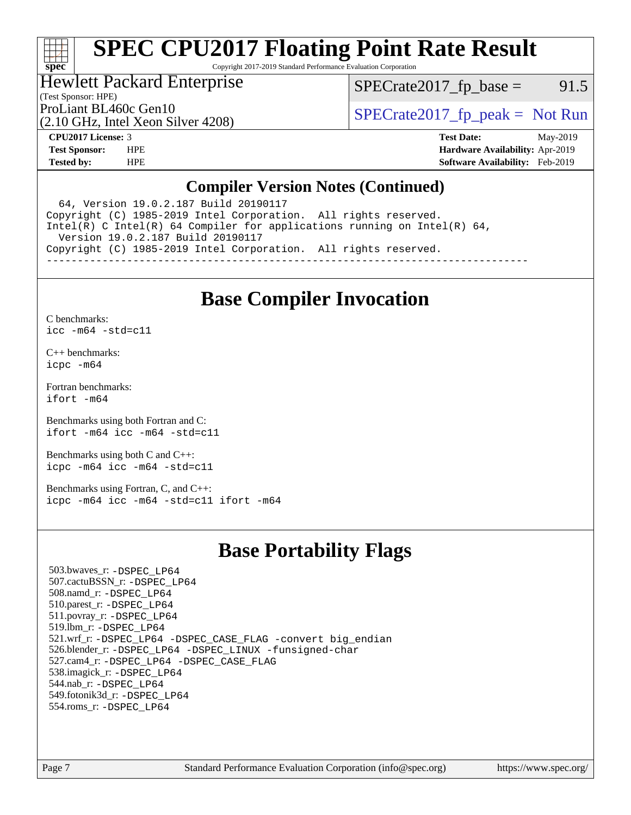# **[spec](http://www.spec.org/)**

# **[SPEC CPU2017 Floating Point Rate Result](http://www.spec.org/auto/cpu2017/Docs/result-fields.html#SPECCPU2017FloatingPointRateResult)**

Copyright 2017-2019 Standard Performance Evaluation Corporation

### Hewlett Packard Enterprise

 $SPECTate2017<sub>fp</sub> base = 91.5$ 

(Test Sponsor: HPE)

(2.10 GHz, Intel Xeon Silver 4208)

ProLiant BL460c Gen10<br>  $SPECTA 10$  [SPECrate2017\\_fp\\_peak =](http://www.spec.org/auto/cpu2017/Docs/result-fields.html#SPECrate2017fppeak) Not Run

**[CPU2017 License:](http://www.spec.org/auto/cpu2017/Docs/result-fields.html#CPU2017License)** 3 **[Test Date:](http://www.spec.org/auto/cpu2017/Docs/result-fields.html#TestDate)** May-2019 **[Test Sponsor:](http://www.spec.org/auto/cpu2017/Docs/result-fields.html#TestSponsor)** HPE **[Hardware Availability:](http://www.spec.org/auto/cpu2017/Docs/result-fields.html#HardwareAvailability)** Apr-2019 **[Tested by:](http://www.spec.org/auto/cpu2017/Docs/result-fields.html#Testedby)** HPE **[Software Availability:](http://www.spec.org/auto/cpu2017/Docs/result-fields.html#SoftwareAvailability)** Feb-2019

#### **[Compiler Version Notes \(Continued\)](http://www.spec.org/auto/cpu2017/Docs/result-fields.html#CompilerVersionNotes)**

 64, Version 19.0.2.187 Build 20190117 Copyright (C) 1985-2019 Intel Corporation. All rights reserved. Intel(R) C Intel(R) 64 Compiler for applications running on Intel(R) 64, Version 19.0.2.187 Build 20190117 Copyright (C) 1985-2019 Intel Corporation. All rights reserved. ------------------------------------------------------------------------------

## **[Base Compiler Invocation](http://www.spec.org/auto/cpu2017/Docs/result-fields.html#BaseCompilerInvocation)**

[C benchmarks](http://www.spec.org/auto/cpu2017/Docs/result-fields.html#Cbenchmarks):

[icc -m64 -std=c11](http://www.spec.org/cpu2017/results/res2019q2/cpu2017-20190514-14027.flags.html#user_CCbase_intel_icc_64bit_c11_33ee0cdaae7deeeab2a9725423ba97205ce30f63b9926c2519791662299b76a0318f32ddfffdc46587804de3178b4f9328c46fa7c2b0cd779d7a61945c91cd35)

[C++ benchmarks:](http://www.spec.org/auto/cpu2017/Docs/result-fields.html#CXXbenchmarks) [icpc -m64](http://www.spec.org/cpu2017/results/res2019q2/cpu2017-20190514-14027.flags.html#user_CXXbase_intel_icpc_64bit_4ecb2543ae3f1412ef961e0650ca070fec7b7afdcd6ed48761b84423119d1bf6bdf5cad15b44d48e7256388bc77273b966e5eb805aefd121eb22e9299b2ec9d9)

[Fortran benchmarks](http://www.spec.org/auto/cpu2017/Docs/result-fields.html#Fortranbenchmarks): [ifort -m64](http://www.spec.org/cpu2017/results/res2019q2/cpu2017-20190514-14027.flags.html#user_FCbase_intel_ifort_64bit_24f2bb282fbaeffd6157abe4f878425411749daecae9a33200eee2bee2fe76f3b89351d69a8130dd5949958ce389cf37ff59a95e7a40d588e8d3a57e0c3fd751)

[Benchmarks using both Fortran and C](http://www.spec.org/auto/cpu2017/Docs/result-fields.html#BenchmarksusingbothFortranandC): [ifort -m64](http://www.spec.org/cpu2017/results/res2019q2/cpu2017-20190514-14027.flags.html#user_CC_FCbase_intel_ifort_64bit_24f2bb282fbaeffd6157abe4f878425411749daecae9a33200eee2bee2fe76f3b89351d69a8130dd5949958ce389cf37ff59a95e7a40d588e8d3a57e0c3fd751) [icc -m64 -std=c11](http://www.spec.org/cpu2017/results/res2019q2/cpu2017-20190514-14027.flags.html#user_CC_FCbase_intel_icc_64bit_c11_33ee0cdaae7deeeab2a9725423ba97205ce30f63b9926c2519791662299b76a0318f32ddfffdc46587804de3178b4f9328c46fa7c2b0cd779d7a61945c91cd35)

[Benchmarks using both C and C++](http://www.spec.org/auto/cpu2017/Docs/result-fields.html#BenchmarksusingbothCandCXX): [icpc -m64](http://www.spec.org/cpu2017/results/res2019q2/cpu2017-20190514-14027.flags.html#user_CC_CXXbase_intel_icpc_64bit_4ecb2543ae3f1412ef961e0650ca070fec7b7afdcd6ed48761b84423119d1bf6bdf5cad15b44d48e7256388bc77273b966e5eb805aefd121eb22e9299b2ec9d9) [icc -m64 -std=c11](http://www.spec.org/cpu2017/results/res2019q2/cpu2017-20190514-14027.flags.html#user_CC_CXXbase_intel_icc_64bit_c11_33ee0cdaae7deeeab2a9725423ba97205ce30f63b9926c2519791662299b76a0318f32ddfffdc46587804de3178b4f9328c46fa7c2b0cd779d7a61945c91cd35)

[Benchmarks using Fortran, C, and C++:](http://www.spec.org/auto/cpu2017/Docs/result-fields.html#BenchmarksusingFortranCandCXX) [icpc -m64](http://www.spec.org/cpu2017/results/res2019q2/cpu2017-20190514-14027.flags.html#user_CC_CXX_FCbase_intel_icpc_64bit_4ecb2543ae3f1412ef961e0650ca070fec7b7afdcd6ed48761b84423119d1bf6bdf5cad15b44d48e7256388bc77273b966e5eb805aefd121eb22e9299b2ec9d9) [icc -m64 -std=c11](http://www.spec.org/cpu2017/results/res2019q2/cpu2017-20190514-14027.flags.html#user_CC_CXX_FCbase_intel_icc_64bit_c11_33ee0cdaae7deeeab2a9725423ba97205ce30f63b9926c2519791662299b76a0318f32ddfffdc46587804de3178b4f9328c46fa7c2b0cd779d7a61945c91cd35) [ifort -m64](http://www.spec.org/cpu2017/results/res2019q2/cpu2017-20190514-14027.flags.html#user_CC_CXX_FCbase_intel_ifort_64bit_24f2bb282fbaeffd6157abe4f878425411749daecae9a33200eee2bee2fe76f3b89351d69a8130dd5949958ce389cf37ff59a95e7a40d588e8d3a57e0c3fd751)

## **[Base Portability Flags](http://www.spec.org/auto/cpu2017/Docs/result-fields.html#BasePortabilityFlags)**

 503.bwaves\_r: [-DSPEC\\_LP64](http://www.spec.org/cpu2017/results/res2019q2/cpu2017-20190514-14027.flags.html#suite_basePORTABILITY503_bwaves_r_DSPEC_LP64) 507.cactuBSSN\_r: [-DSPEC\\_LP64](http://www.spec.org/cpu2017/results/res2019q2/cpu2017-20190514-14027.flags.html#suite_basePORTABILITY507_cactuBSSN_r_DSPEC_LP64) 508.namd\_r: [-DSPEC\\_LP64](http://www.spec.org/cpu2017/results/res2019q2/cpu2017-20190514-14027.flags.html#suite_basePORTABILITY508_namd_r_DSPEC_LP64) 510.parest\_r: [-DSPEC\\_LP64](http://www.spec.org/cpu2017/results/res2019q2/cpu2017-20190514-14027.flags.html#suite_basePORTABILITY510_parest_r_DSPEC_LP64) 511.povray\_r: [-DSPEC\\_LP64](http://www.spec.org/cpu2017/results/res2019q2/cpu2017-20190514-14027.flags.html#suite_basePORTABILITY511_povray_r_DSPEC_LP64) 519.lbm\_r: [-DSPEC\\_LP64](http://www.spec.org/cpu2017/results/res2019q2/cpu2017-20190514-14027.flags.html#suite_basePORTABILITY519_lbm_r_DSPEC_LP64) 521.wrf\_r: [-DSPEC\\_LP64](http://www.spec.org/cpu2017/results/res2019q2/cpu2017-20190514-14027.flags.html#suite_basePORTABILITY521_wrf_r_DSPEC_LP64) [-DSPEC\\_CASE\\_FLAG](http://www.spec.org/cpu2017/results/res2019q2/cpu2017-20190514-14027.flags.html#b521.wrf_r_baseCPORTABILITY_DSPEC_CASE_FLAG) [-convert big\\_endian](http://www.spec.org/cpu2017/results/res2019q2/cpu2017-20190514-14027.flags.html#user_baseFPORTABILITY521_wrf_r_convert_big_endian_c3194028bc08c63ac5d04de18c48ce6d347e4e562e8892b8bdbdc0214820426deb8554edfa529a3fb25a586e65a3d812c835984020483e7e73212c4d31a38223) 526.blender\_r: [-DSPEC\\_LP64](http://www.spec.org/cpu2017/results/res2019q2/cpu2017-20190514-14027.flags.html#suite_basePORTABILITY526_blender_r_DSPEC_LP64) [-DSPEC\\_LINUX](http://www.spec.org/cpu2017/results/res2019q2/cpu2017-20190514-14027.flags.html#b526.blender_r_baseCPORTABILITY_DSPEC_LINUX) [-funsigned-char](http://www.spec.org/cpu2017/results/res2019q2/cpu2017-20190514-14027.flags.html#user_baseCPORTABILITY526_blender_r_force_uchar_40c60f00ab013830e2dd6774aeded3ff59883ba5a1fc5fc14077f794d777847726e2a5858cbc7672e36e1b067e7e5c1d9a74f7176df07886a243d7cc18edfe67) 527.cam4\_r: [-DSPEC\\_LP64](http://www.spec.org/cpu2017/results/res2019q2/cpu2017-20190514-14027.flags.html#suite_basePORTABILITY527_cam4_r_DSPEC_LP64) [-DSPEC\\_CASE\\_FLAG](http://www.spec.org/cpu2017/results/res2019q2/cpu2017-20190514-14027.flags.html#b527.cam4_r_baseCPORTABILITY_DSPEC_CASE_FLAG) 538.imagick\_r: [-DSPEC\\_LP64](http://www.spec.org/cpu2017/results/res2019q2/cpu2017-20190514-14027.flags.html#suite_basePORTABILITY538_imagick_r_DSPEC_LP64) 544.nab\_r: [-DSPEC\\_LP64](http://www.spec.org/cpu2017/results/res2019q2/cpu2017-20190514-14027.flags.html#suite_basePORTABILITY544_nab_r_DSPEC_LP64) 549.fotonik3d\_r: [-DSPEC\\_LP64](http://www.spec.org/cpu2017/results/res2019q2/cpu2017-20190514-14027.flags.html#suite_basePORTABILITY549_fotonik3d_r_DSPEC_LP64) 554.roms\_r: [-DSPEC\\_LP64](http://www.spec.org/cpu2017/results/res2019q2/cpu2017-20190514-14027.flags.html#suite_basePORTABILITY554_roms_r_DSPEC_LP64)